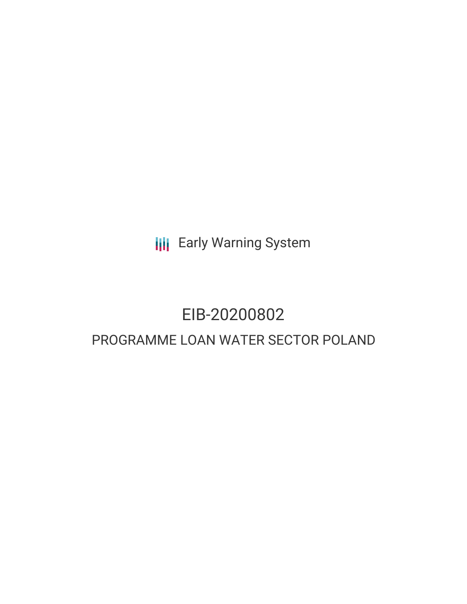**III** Early Warning System

# EIB-20200802 PROGRAMME LOAN WATER SECTOR POLAND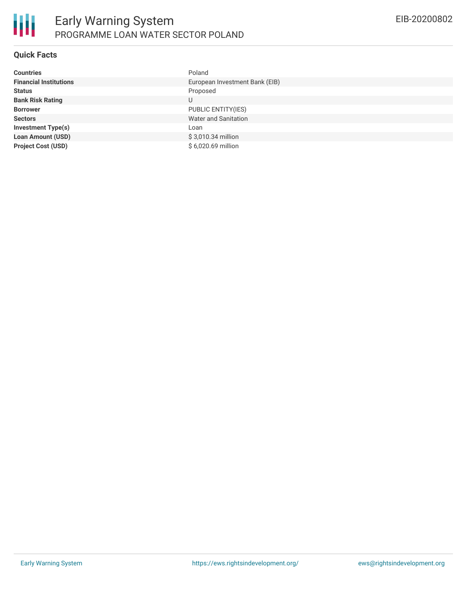

### **Quick Facts**

| <b>Countries</b>              | Poland                         |
|-------------------------------|--------------------------------|
| <b>Financial Institutions</b> | European Investment Bank (EIB) |
| <b>Status</b>                 | Proposed                       |
| <b>Bank Risk Rating</b>       | U                              |
| <b>Borrower</b>               | PUBLIC ENTITY(IES)             |
| <b>Sectors</b>                | <b>Water and Sanitation</b>    |
| <b>Investment Type(s)</b>     | Loan                           |
| <b>Loan Amount (USD)</b>      | \$3,010.34 million             |
| <b>Project Cost (USD)</b>     | \$6,020.69 million             |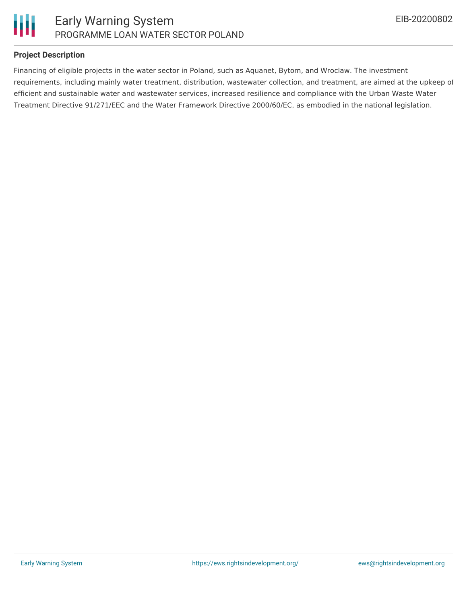



### **Project Description**

Financing of eligible projects in the water sector in Poland, such as Aquanet, Bytom, and Wroclaw. The investment requirements, including mainly water treatment, distribution, wastewater collection, and treatment, are aimed at the upkeep of efficient and sustainable water and wastewater services, increased resilience and compliance with the Urban Waste Water Treatment Directive 91/271/EEC and the Water Framework Directive 2000/60/EC, as embodied in the national legislation.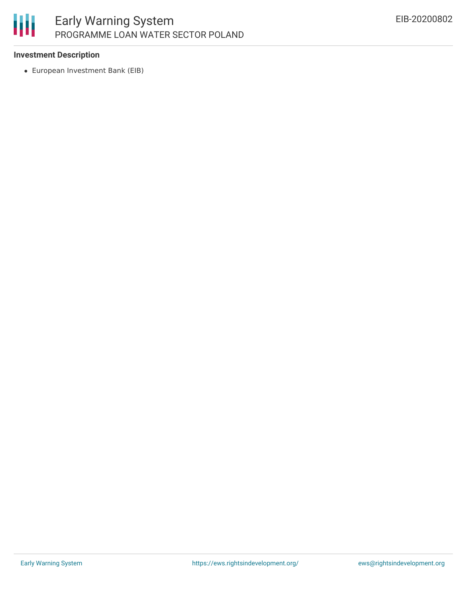

# **Investment Description**

European Investment Bank (EIB)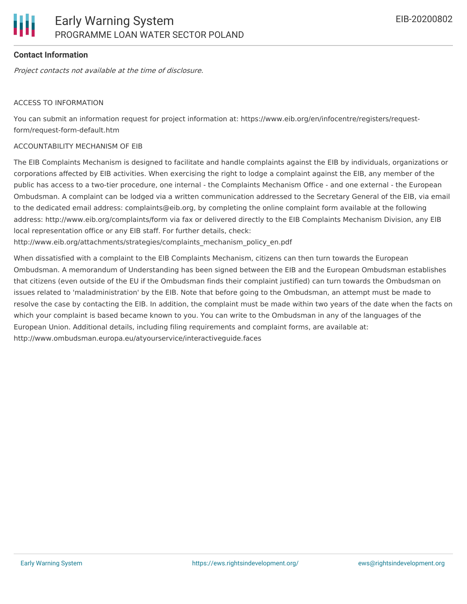# **Contact Information**

Project contacts not available at the time of disclosure.

#### ACCESS TO INFORMATION

You can submit an information request for project information at: https://www.eib.org/en/infocentre/registers/requestform/request-form-default.htm

#### ACCOUNTABILITY MECHANISM OF EIB

The EIB Complaints Mechanism is designed to facilitate and handle complaints against the EIB by individuals, organizations or corporations affected by EIB activities. When exercising the right to lodge a complaint against the EIB, any member of the public has access to a two-tier procedure, one internal - the Complaints Mechanism Office - and one external - the European Ombudsman. A complaint can be lodged via a written communication addressed to the Secretary General of the EIB, via email to the dedicated email address: complaints@eib.org, by completing the online complaint form available at the following address: http://www.eib.org/complaints/form via fax or delivered directly to the EIB Complaints Mechanism Division, any EIB local representation office or any EIB staff. For further details, check:

http://www.eib.org/attachments/strategies/complaints\_mechanism\_policy\_en.pdf

When dissatisfied with a complaint to the EIB Complaints Mechanism, citizens can then turn towards the European Ombudsman. A memorandum of Understanding has been signed between the EIB and the European Ombudsman establishes that citizens (even outside of the EU if the Ombudsman finds their complaint justified) can turn towards the Ombudsman on issues related to 'maladministration' by the EIB. Note that before going to the Ombudsman, an attempt must be made to resolve the case by contacting the EIB. In addition, the complaint must be made within two years of the date when the facts on which your complaint is based became known to you. You can write to the Ombudsman in any of the languages of the European Union. Additional details, including filing requirements and complaint forms, are available at: http://www.ombudsman.europa.eu/atyourservice/interactiveguide.faces